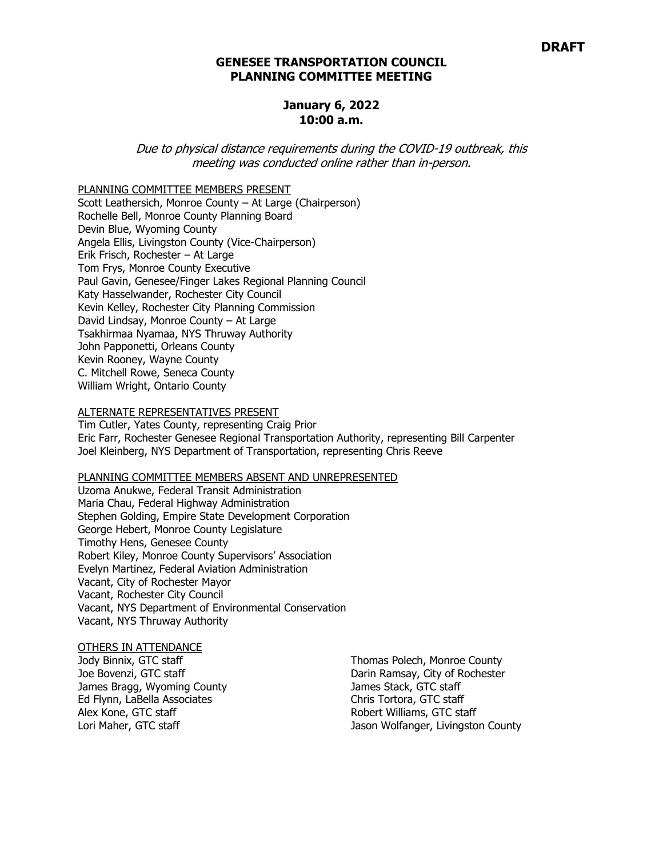### **GENESEE TRANSPORTATION COUNCIL PLANNING COMMITTEE MEETING**

### **January 6, 2022 10:00 a.m.**

Due to physical distance requirements during the COVID-19 outbreak, this meeting was conducted online rather than in-person.

PLANNING COMMITTEE MEMBERS PRESENT

Scott Leathersich, Monroe County – At Large (Chairperson) Rochelle Bell, Monroe County Planning Board Devin Blue, Wyoming County Angela Ellis, Livingston County (Vice-Chairperson) Erik Frisch, Rochester – At Large Tom Frys, Monroe County Executive Paul Gavin, Genesee/Finger Lakes Regional Planning Council Katy Hasselwander, Rochester City Council Kevin Kelley, Rochester City Planning Commission David Lindsay, Monroe County – At Large Tsakhirmaa Nyamaa, NYS Thruway Authority John Papponetti, Orleans County Kevin Rooney, Wayne County C. Mitchell Rowe, Seneca County William Wright, Ontario County

#### ALTERNATE REPRESENTATIVES PRESENT

Tim Cutler, Yates County, representing Craig Prior Eric Farr, Rochester Genesee Regional Transportation Authority, representing Bill Carpenter Joel Kleinberg, NYS Department of Transportation, representing Chris Reeve

#### PLANNING COMMITTEE MEMBERS ABSENT AND UNREPRESENTED

Uzoma Anukwe, Federal Transit Administration Maria Chau, Federal Highway Administration Stephen Golding, Empire State Development Corporation George Hebert, Monroe County Legislature Timothy Hens, Genesee County Robert Kiley, Monroe County Supervisors' Association Evelyn Martinez, Federal Aviation Administration Vacant, City of Rochester Mayor Vacant, Rochester City Council Vacant, NYS Department of Environmental Conservation Vacant, NYS Thruway Authority

#### OTHERS IN ATTENDANCE

Jody Binnix, GTC staff Joe Bovenzi, GTC staff James Bragg, Wyoming County Ed Flynn, LaBella Associates Alex Kone, GTC staff Lori Maher, GTC staff

Thomas Polech, Monroe County Darin Ramsay, City of Rochester James Stack, GTC staff Chris Tortora, GTC staff Robert Williams, GTC staff Jason Wolfanger, Livingston County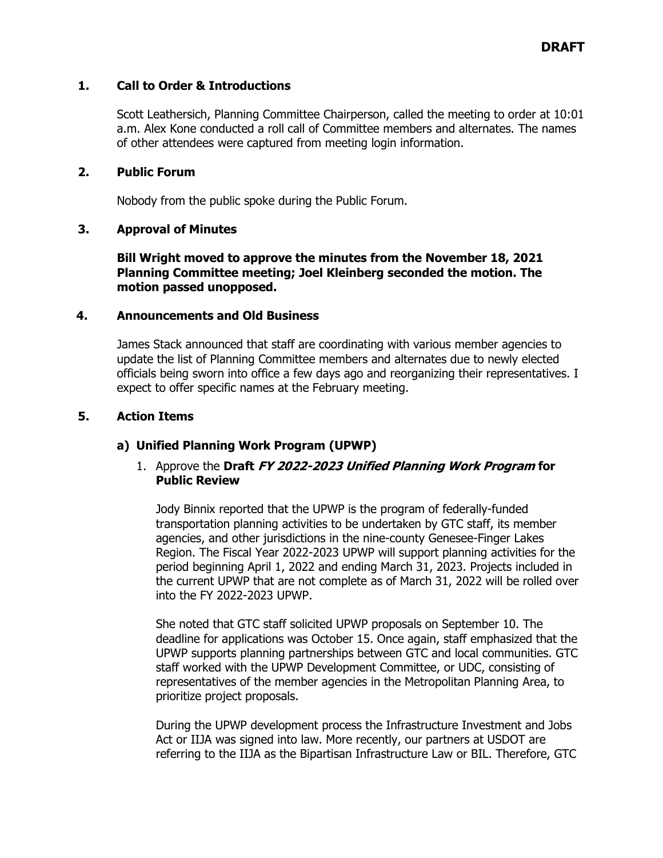# **1. Call to Order & Introductions**

Scott Leathersich, Planning Committee Chairperson, called the meeting to order at 10:01 a.m. Alex Kone conducted a roll call of Committee members and alternates. The names of other attendees were captured from meeting login information.

### **2. Public Forum**

Nobody from the public spoke during the Public Forum.

# **3. Approval of Minutes**

**Bill Wright moved to approve the minutes from the November 18, 2021 Planning Committee meeting; Joel Kleinberg seconded the motion. The motion passed unopposed.**

### **4. Announcements and Old Business**

James Stack announced that staff are coordinating with various member agencies to update the list of Planning Committee members and alternates due to newly elected officials being sworn into office a few days ago and reorganizing their representatives. I expect to offer specific names at the February meeting.

# **5. Action Items**

# **a) Unified Planning Work Program (UPWP)**

# 1. Approve the **Draft FY 2022-2023 Unified Planning Work Program for Public Review**

Jody Binnix reported that the UPWP is the program of federally-funded transportation planning activities to be undertaken by GTC staff, its member agencies, and other jurisdictions in the nine-county Genesee-Finger Lakes Region. The Fiscal Year 2022-2023 UPWP will support planning activities for the period beginning April 1, 2022 and ending March 31, 2023. Projects included in the current UPWP that are not complete as of March 31, 2022 will be rolled over into the FY 2022-2023 UPWP.

She noted that GTC staff solicited UPWP proposals on September 10. The deadline for applications was October 15. Once again, staff emphasized that the UPWP supports planning partnerships between GTC and local communities. GTC staff worked with the UPWP Development Committee, or UDC, consisting of representatives of the member agencies in the Metropolitan Planning Area, to prioritize project proposals.

During the UPWP development process the Infrastructure Investment and Jobs Act or IIJA was signed into law. More recently, our partners at USDOT are referring to the IIJA as the Bipartisan Infrastructure Law or BIL. Therefore, GTC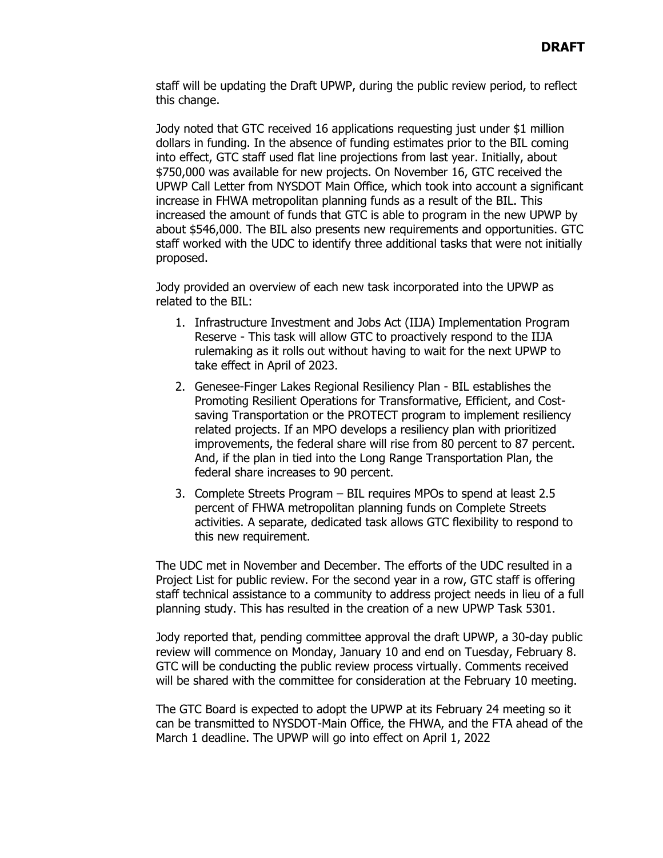staff will be updating the Draft UPWP, during the public review period, to reflect this change.

Jody noted that GTC received 16 applications requesting just under \$1 million dollars in funding. In the absence of funding estimates prior to the BIL coming into effect, GTC staff used flat line projections from last year. Initially, about \$750,000 was available for new projects. On November 16, GTC received the UPWP Call Letter from NYSDOT Main Office, which took into account a significant increase in FHWA metropolitan planning funds as a result of the BIL. This increased the amount of funds that GTC is able to program in the new UPWP by about \$546,000. The BIL also presents new requirements and opportunities. GTC staff worked with the UDC to identify three additional tasks that were not initially proposed.

Jody provided an overview of each new task incorporated into the UPWP as related to the BIL:

- 1. Infrastructure Investment and Jobs Act (IIJA) Implementation Program Reserve - This task will allow GTC to proactively respond to the IIJA rulemaking as it rolls out without having to wait for the next UPWP to take effect in April of 2023.
- 2. Genesee-Finger Lakes Regional Resiliency Plan BIL establishes the Promoting Resilient Operations for Transformative, Efficient, and Costsaving Transportation or the PROTECT program to implement resiliency related projects. If an MPO develops a resiliency plan with prioritized improvements, the federal share will rise from 80 percent to 87 percent. And, if the plan in tied into the Long Range Transportation Plan, the federal share increases to 90 percent.
- 3. Complete Streets Program BIL requires MPOs to spend at least 2.5 percent of FHWA metropolitan planning funds on Complete Streets activities. A separate, dedicated task allows GTC flexibility to respond to this new requirement.

The UDC met in November and December. The efforts of the UDC resulted in a Project List for public review. For the second year in a row, GTC staff is offering staff technical assistance to a community to address project needs in lieu of a full planning study. This has resulted in the creation of a new UPWP Task 5301.

Jody reported that, pending committee approval the draft UPWP, a 30-day public review will commence on Monday, January 10 and end on Tuesday, February 8. GTC will be conducting the public review process virtually. Comments received will be shared with the committee for consideration at the February 10 meeting.

The GTC Board is expected to adopt the UPWP at its February 24 meeting so it can be transmitted to NYSDOT-Main Office, the FHWA, and the FTA ahead of the March 1 deadline. The UPWP will go into effect on April 1, 2022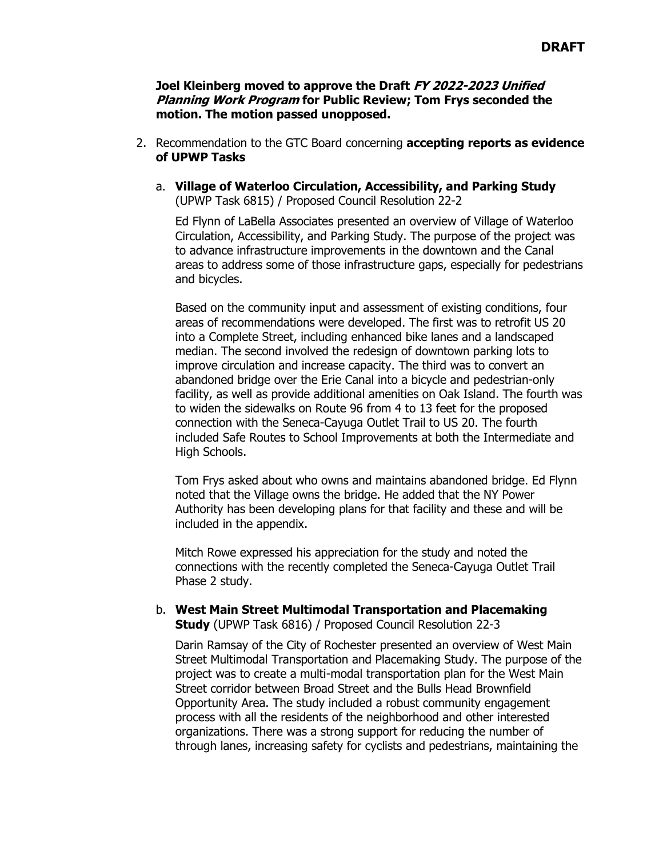### **Joel Kleinberg moved to approve the Draft FY 2022-2023 Unified Planning Work Program for Public Review; Tom Frys seconded the motion. The motion passed unopposed.**

- 2. Recommendation to the GTC Board concerning **accepting reports as evidence of UPWP Tasks**
	- a. **Village of Waterloo Circulation, Accessibility, and Parking Study**  (UPWP Task 6815) / Proposed Council Resolution 22-2

Ed Flynn of LaBella Associates presented an overview of Village of Waterloo Circulation, Accessibility, and Parking Study. The purpose of the project was to advance infrastructure improvements in the downtown and the Canal areas to address some of those infrastructure gaps, especially for pedestrians and bicycles.

Based on the community input and assessment of existing conditions, four areas of recommendations were developed. The first was to retrofit US 20 into a Complete Street, including enhanced bike lanes and a landscaped median. The second involved the redesign of downtown parking lots to improve circulation and increase capacity. The third was to convert an abandoned bridge over the Erie Canal into a bicycle and pedestrian-only facility, as well as provide additional amenities on Oak Island. The fourth was to widen the sidewalks on Route 96 from 4 to 13 feet for the proposed connection with the Seneca-Cayuga Outlet Trail to US 20. The fourth included Safe Routes to School Improvements at both the Intermediate and High Schools.

Tom Frys asked about who owns and maintains abandoned bridge. Ed Flynn noted that the Village owns the bridge. He added that the NY Power Authority has been developing plans for that facility and these and will be included in the appendix.

Mitch Rowe expressed his appreciation for the study and noted the connections with the recently completed the Seneca-Cayuga Outlet Trail Phase 2 study.

### b. **West Main Street Multimodal Transportation and Placemaking Study** (UPWP Task 6816) / Proposed Council Resolution 22-3

Darin Ramsay of the City of Rochester presented an overview of West Main Street Multimodal Transportation and Placemaking Study. The purpose of the project was to create a multi-modal transportation plan for the West Main Street corridor between Broad Street and the Bulls Head Brownfield Opportunity Area. The study included a robust community engagement process with all the residents of the neighborhood and other interested organizations. There was a strong support for reducing the number of through lanes, increasing safety for cyclists and pedestrians, maintaining the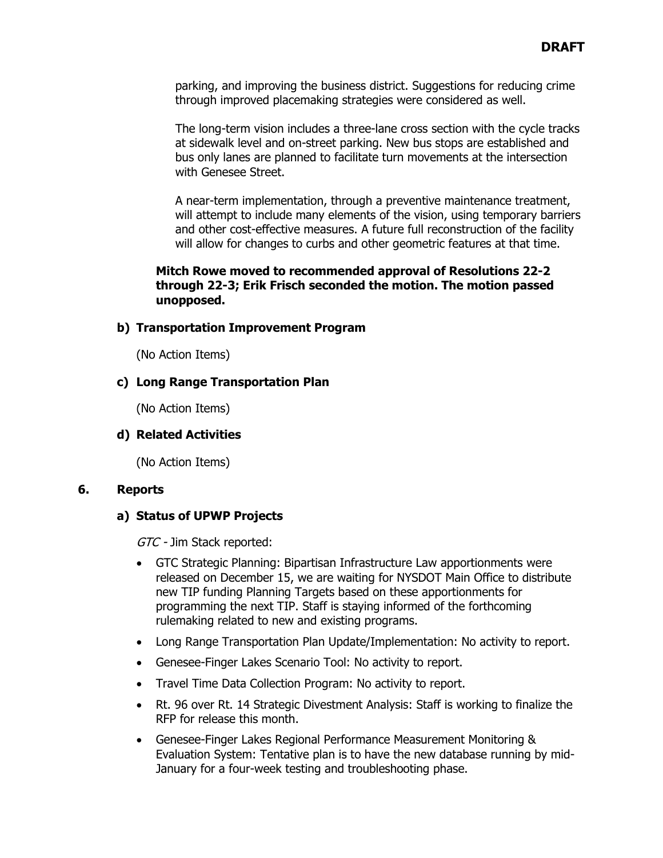parking, and improving the business district. Suggestions for reducing crime through improved placemaking strategies were considered as well.

The long-term vision includes a three-lane cross section with the cycle tracks at sidewalk level and on-street parking. New bus stops are established and bus only lanes are planned to facilitate turn movements at the intersection with Genesee Street.

A near-term implementation, through a preventive maintenance treatment, will attempt to include many elements of the vision, using temporary barriers and other cost-effective measures. A future full reconstruction of the facility will allow for changes to curbs and other geometric features at that time.

# **Mitch Rowe moved to recommended approval of Resolutions 22-2 through 22-3; Erik Frisch seconded the motion. The motion passed unopposed.**

# **b) Transportation Improvement Program**

(No Action Items)

### **c) Long Range Transportation Plan**

(No Action Items)

# **d) Related Activities**

(No Action Items)

### **6. Reports**

# **a) Status of UPWP Projects**

GTC - Jim Stack reported:

- GTC Strategic Planning: Bipartisan Infrastructure Law apportionments were released on December 15, we are waiting for NYSDOT Main Office to distribute new TIP funding Planning Targets based on these apportionments for programming the next TIP. Staff is staying informed of the forthcoming rulemaking related to new and existing programs.
- Long Range Transportation Plan Update/Implementation: No activity to report.
- Genesee-Finger Lakes Scenario Tool: No activity to report.
- Travel Time Data Collection Program: No activity to report.
- Rt. 96 over Rt. 14 Strategic Divestment Analysis: Staff is working to finalize the RFP for release this month.
- Genesee-Finger Lakes Regional Performance Measurement Monitoring & Evaluation System: Tentative plan is to have the new database running by mid-January for a four-week testing and troubleshooting phase.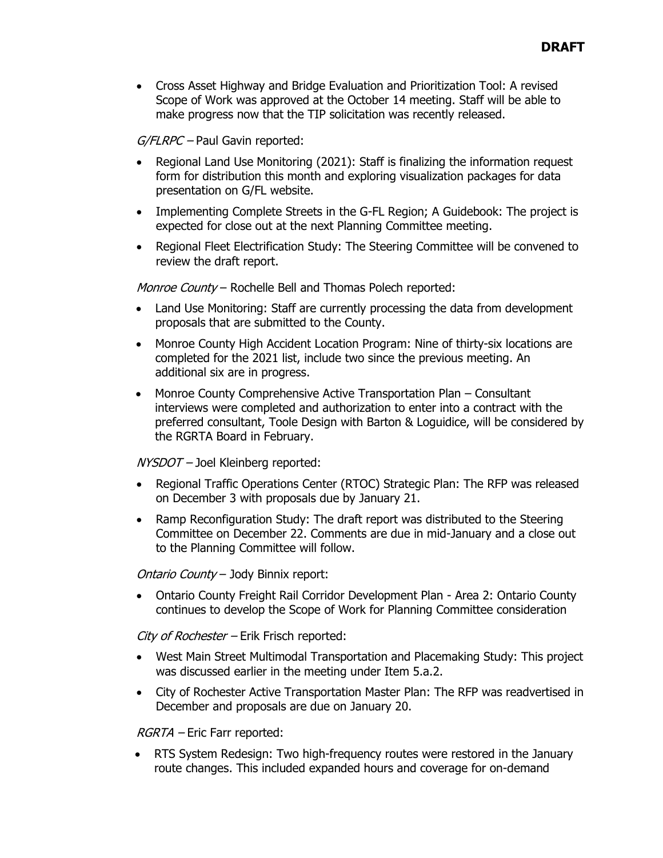• Cross Asset Highway and Bridge Evaluation and Prioritization Tool: A revised Scope of Work was approved at the October 14 meeting. Staff will be able to make progress now that the TIP solicitation was recently released.

 $G/FLRPC$  – Paul Gavin reported:

- Regional Land Use Monitoring (2021): Staff is finalizing the information request form for distribution this month and exploring visualization packages for data presentation on G/FL website.
- Implementing Complete Streets in the G-FL Region; A Guidebook: The project is expected for close out at the next Planning Committee meeting.
- Regional Fleet Electrification Study: The Steering Committee will be convened to review the draft report.

Monroe County - Rochelle Bell and Thomas Polech reported:

- Land Use Monitoring: Staff are currently processing the data from development proposals that are submitted to the County.
- Monroe County High Accident Location Program: Nine of thirty-six locations are completed for the 2021 list, include two since the previous meeting. An additional six are in progress.
- Monroe County Comprehensive Active Transportation Plan Consultant interviews were completed and authorization to enter into a contract with the preferred consultant, Toole Design with Barton & Loguidice, will be considered by the RGRTA Board in February.

NYSDOT – Joel Kleinberg reported:

- Regional Traffic Operations Center (RTOC) Strategic Plan: The RFP was released on December 3 with proposals due by January 21.
- Ramp Reconfiguration Study: The draft report was distributed to the Steering Committee on December 22. Comments are due in mid-January and a close out to the Planning Committee will follow.

Ontario County – Jody Binnix report:

• Ontario County Freight Rail Corridor Development Plan - Area 2: Ontario County continues to develop the Scope of Work for Planning Committee consideration

City of Rochester – Erik Frisch reported:

- West Main Street Multimodal Transportation and Placemaking Study: This project was discussed earlier in the meeting under Item 5.a.2.
- City of Rochester Active Transportation Master Plan: The RFP was readvertised in December and proposals are due on January 20.

RGRTA – Eric Farr reported:

• RTS System Redesign: Two high-frequency routes were restored in the January route changes. This included expanded hours and coverage for on-demand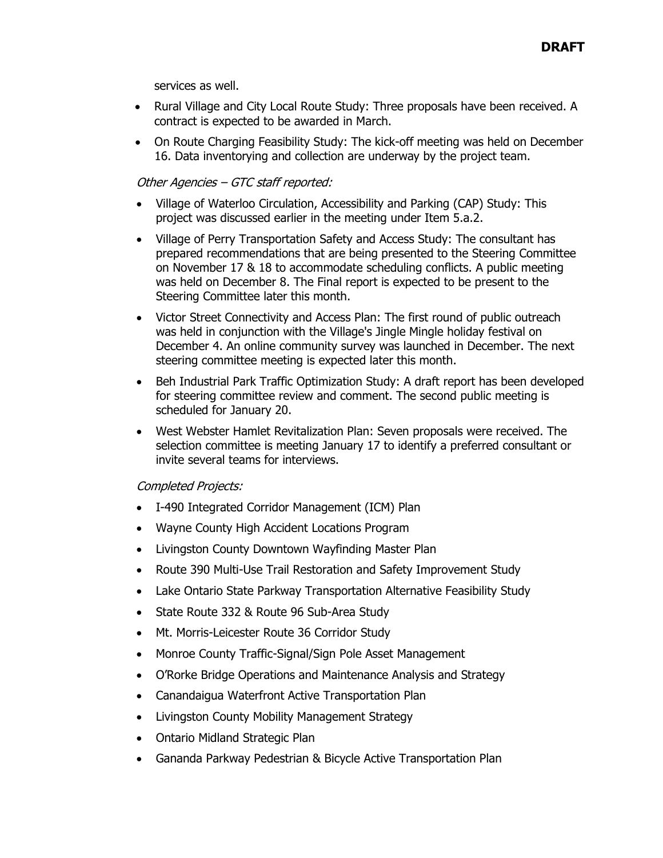services as well.

- Rural Village and City Local Route Study: Three proposals have been received. A contract is expected to be awarded in March.
- On Route Charging Feasibility Study: The kick-off meeting was held on December 16. Data inventorying and collection are underway by the project team.

# Other Agencies – GTC staff reported:

- Village of Waterloo Circulation, Accessibility and Parking (CAP) Study: This project was discussed earlier in the meeting under Item 5.a.2.
- Village of Perry Transportation Safety and Access Study: The consultant has prepared recommendations that are being presented to the Steering Committee on November 17 & 18 to accommodate scheduling conflicts. A public meeting was held on December 8. The Final report is expected to be present to the Steering Committee later this month.
- Victor Street Connectivity and Access Plan: The first round of public outreach was held in conjunction with the Village's Jingle Mingle holiday festival on December 4. An online community survey was launched in December. The next steering committee meeting is expected later this month.
- Beh Industrial Park Traffic Optimization Study: A draft report has been developed for steering committee review and comment. The second public meeting is scheduled for January 20.
- West Webster Hamlet Revitalization Plan: Seven proposals were received. The selection committee is meeting January 17 to identify a preferred consultant or invite several teams for interviews.

### Completed Projects:

- I-490 Integrated Corridor Management (ICM) Plan
- Wayne County High Accident Locations Program
- Livingston County Downtown Wayfinding Master Plan
- Route 390 Multi-Use Trail Restoration and Safety Improvement Study
- Lake Ontario State Parkway Transportation Alternative Feasibility Study
- State Route 332 & Route 96 Sub-Area Study
- Mt. Morris-Leicester Route 36 Corridor Study
- Monroe County Traffic-Signal/Sign Pole Asset Management
- O'Rorke Bridge Operations and Maintenance Analysis and Strategy
- Canandaigua Waterfront Active Transportation Plan
- Livingston County Mobility Management Strategy
- Ontario Midland Strategic Plan
- Gananda Parkway Pedestrian & Bicycle Active Transportation Plan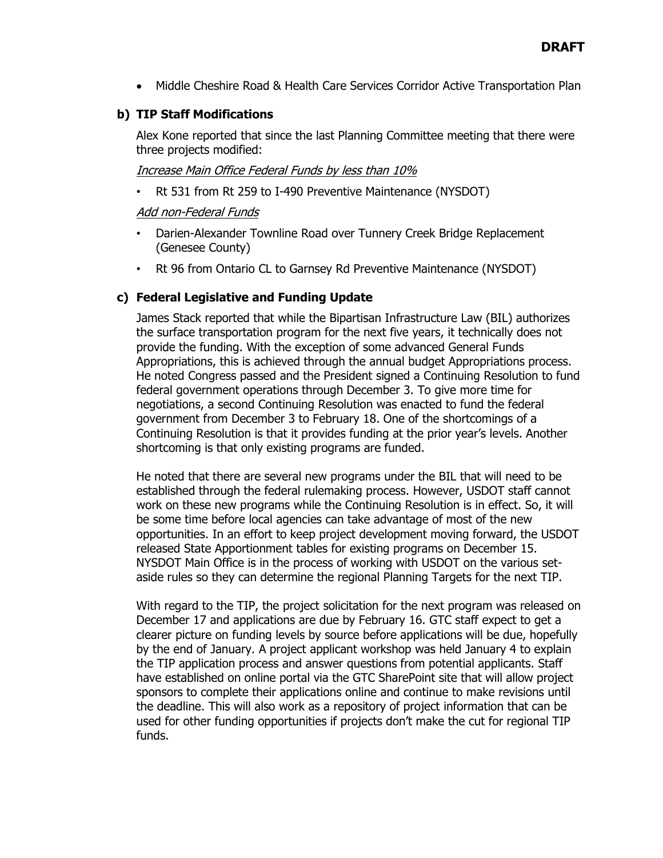• Middle Cheshire Road & Health Care Services Corridor Active Transportation Plan

# **b) TIP Staff Modifications**

Alex Kone reported that since the last Planning Committee meeting that there were three projects modified:

# Increase Main Office Federal Funds by less than 10%

• Rt 531 from Rt 259 to I-490 Preventive Maintenance (NYSDOT)

# Add non-Federal Funds

- Darien-Alexander Townline Road over Tunnery Creek Bridge Replacement (Genesee County)
- Rt 96 from Ontario CL to Garnsey Rd Preventive Maintenance (NYSDOT)

# **c) Federal Legislative and Funding Update**

James Stack reported that while the Bipartisan Infrastructure Law (BIL) authorizes the surface transportation program for the next five years, it technically does not provide the funding. With the exception of some advanced General Funds Appropriations, this is achieved through the annual budget Appropriations process. He noted Congress passed and the President signed a Continuing Resolution to fund federal government operations through December 3. To give more time for negotiations, a second Continuing Resolution was enacted to fund the federal government from December 3 to February 18. One of the shortcomings of a Continuing Resolution is that it provides funding at the prior year's levels. Another shortcoming is that only existing programs are funded.

He noted that there are several new programs under the BIL that will need to be established through the federal rulemaking process. However, USDOT staff cannot work on these new programs while the Continuing Resolution is in effect. So, it will be some time before local agencies can take advantage of most of the new opportunities. In an effort to keep project development moving forward, the USDOT released State Apportionment tables for existing programs on December 15. NYSDOT Main Office is in the process of working with USDOT on the various setaside rules so they can determine the regional Planning Targets for the next TIP.

With regard to the TIP, the project solicitation for the next program was released on December 17 and applications are due by February 16. GTC staff expect to get a clearer picture on funding levels by source before applications will be due, hopefully by the end of January. A project applicant workshop was held January 4 to explain the TIP application process and answer questions from potential applicants. Staff have established on online portal via the GTC SharePoint site that will allow project sponsors to complete their applications online and continue to make revisions until the deadline. This will also work as a repository of project information that can be used for other funding opportunities if projects don't make the cut for regional TIP funds.